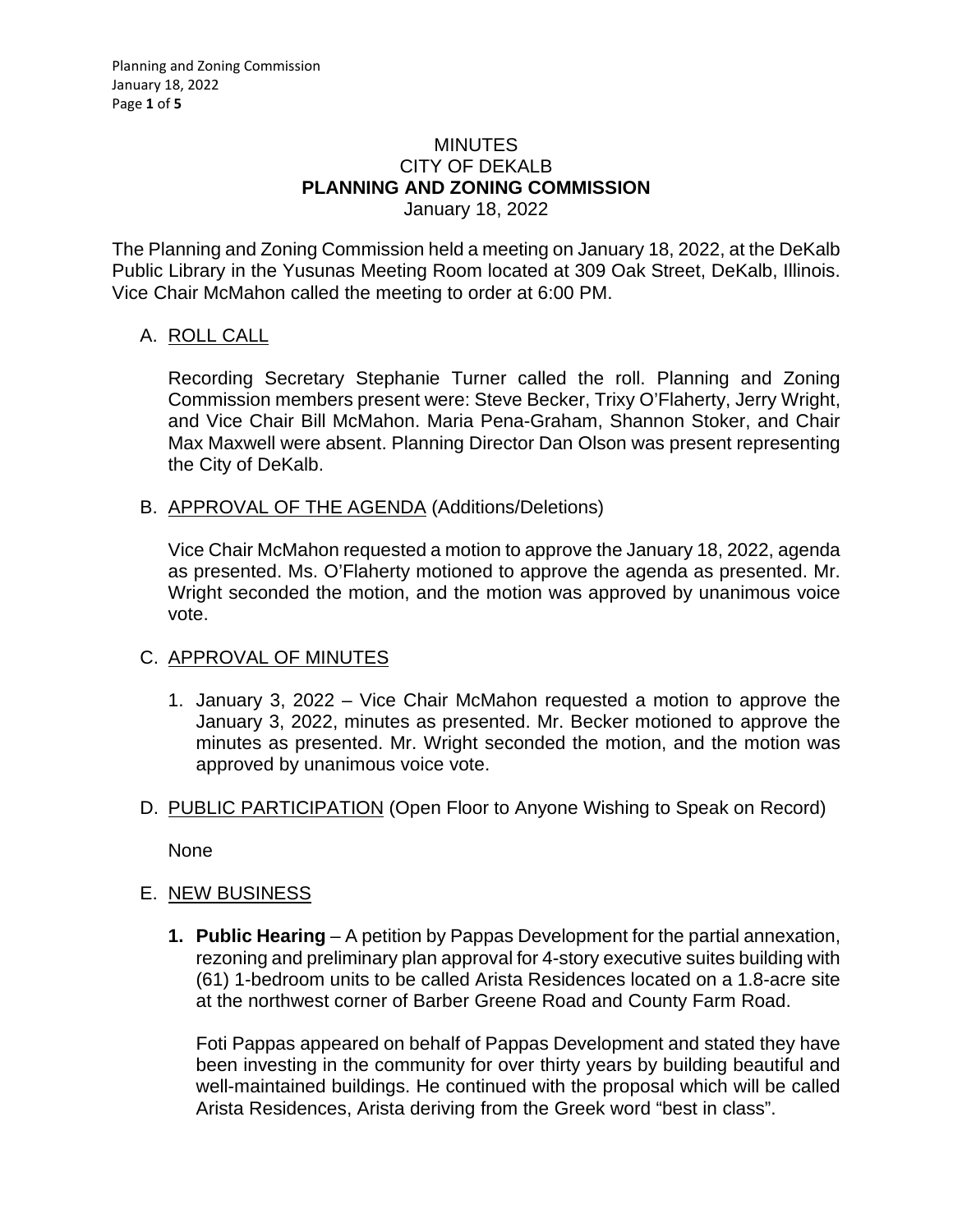### MINUTES CITY OF DEKALB **PLANNING AND ZONING COMMISSION** January 18, 2022

The Planning and Zoning Commission held a meeting on January 18, 2022, at the DeKalb Public Library in the Yusunas Meeting Room located at 309 Oak Street, DeKalb, Illinois. Vice Chair McMahon called the meeting to order at 6:00 PM.

## A. ROLL CALL

Recording Secretary Stephanie Turner called the roll. Planning and Zoning Commission members present were: Steve Becker, Trixy O'Flaherty, Jerry Wright, and Vice Chair Bill McMahon. Maria Pena-Graham, Shannon Stoker, and Chair Max Maxwell were absent. Planning Director Dan Olson was present representing the City of DeKalb.

B. APPROVAL OF THE AGENDA (Additions/Deletions)

Vice Chair McMahon requested a motion to approve the January 18, 2022, agenda as presented. Ms. O'Flaherty motioned to approve the agenda as presented. Mr. Wright seconded the motion, and the motion was approved by unanimous voice vote.

# C. APPROVAL OF MINUTES

- 1. January 3, 2022 Vice Chair McMahon requested a motion to approve the January 3, 2022, minutes as presented. Mr. Becker motioned to approve the minutes as presented. Mr. Wright seconded the motion, and the motion was approved by unanimous voice vote.
- D. PUBLIC PARTICIPATION (Open Floor to Anyone Wishing to Speak on Record)

None

### E. NEW BUSINESS

**1. Public Hearing** – A petition by Pappas Development for the partial annexation, rezoning and preliminary plan approval for 4-story executive suites building with (61) 1-bedroom units to be called Arista Residences located on a 1.8-acre site at the northwest corner of Barber Greene Road and County Farm Road.

Foti Pappas appeared on behalf of Pappas Development and stated they have been investing in the community for over thirty years by building beautiful and well-maintained buildings. He continued with the proposal which will be called Arista Residences, Arista deriving from the Greek word "best in class".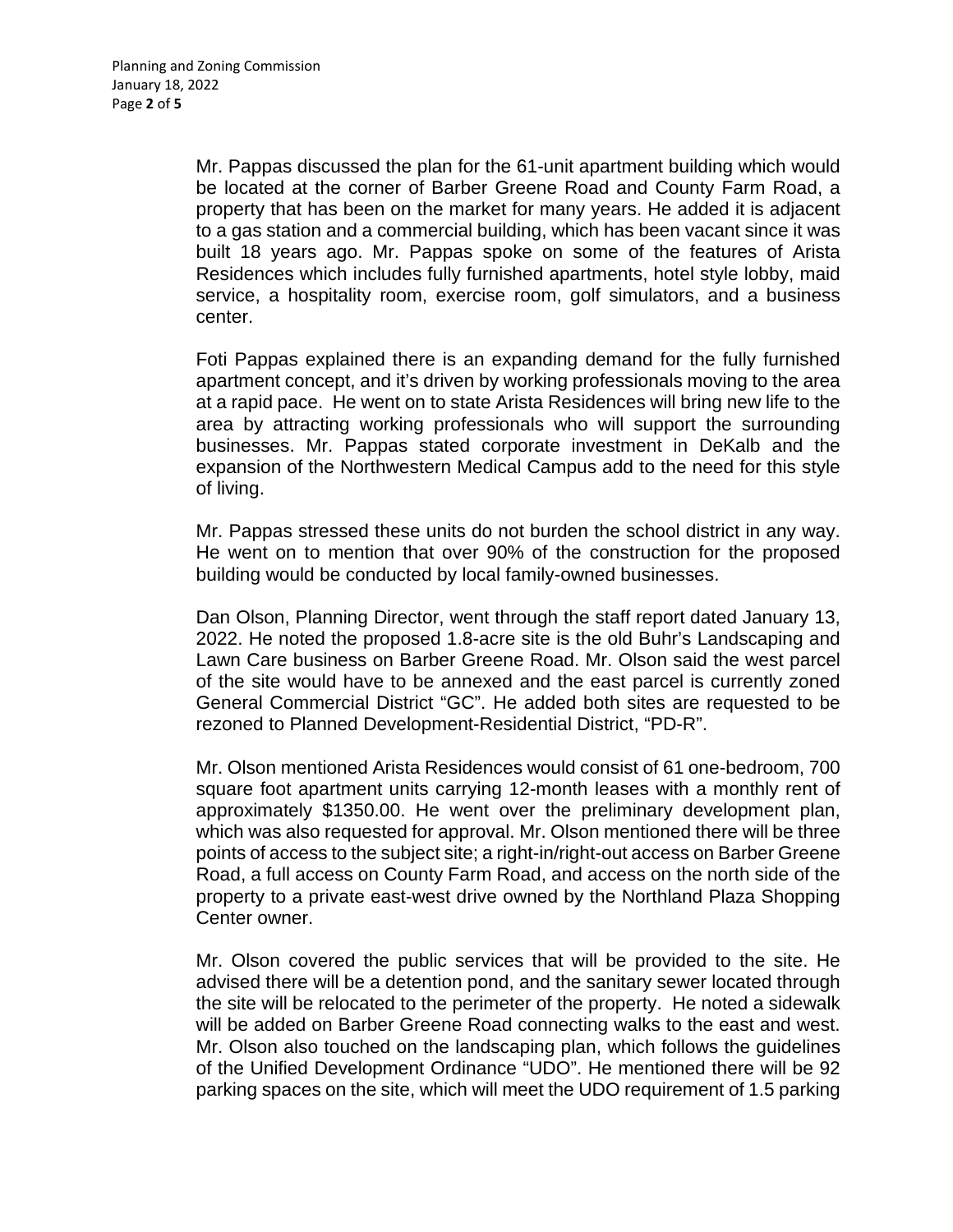Mr. Pappas discussed the plan for the 61-unit apartment building which would be located at the corner of Barber Greene Road and County Farm Road, a property that has been on the market for many years. He added it is adjacent to a gas station and a commercial building, which has been vacant since it was built 18 years ago. Mr. Pappas spoke on some of the features of Arista Residences which includes fully furnished apartments, hotel style lobby, maid service, a hospitality room, exercise room, golf simulators, and a business center.

Foti Pappas explained there is an expanding demand for the fully furnished apartment concept, and it's driven by working professionals moving to the area at a rapid pace. He went on to state Arista Residences will bring new life to the area by attracting working professionals who will support the surrounding businesses. Mr. Pappas stated corporate investment in DeKalb and the expansion of the Northwestern Medical Campus add to the need for this style of living.

Mr. Pappas stressed these units do not burden the school district in any way. He went on to mention that over 90% of the construction for the proposed building would be conducted by local family-owned businesses.

Dan Olson, Planning Director, went through the staff report dated January 13, 2022. He noted the proposed 1.8-acre site is the old Buhr's Landscaping and Lawn Care business on Barber Greene Road. Mr. Olson said the west parcel of the site would have to be annexed and the east parcel is currently zoned General Commercial District "GC". He added both sites are requested to be rezoned to Planned Development-Residential District, "PD-R".

Mr. Olson mentioned Arista Residences would consist of 61 one-bedroom, 700 square foot apartment units carrying 12-month leases with a monthly rent of approximately \$1350.00. He went over the preliminary development plan, which was also requested for approval. Mr. Olson mentioned there will be three points of access to the subject site; a right-in/right-out access on Barber Greene Road, a full access on County Farm Road, and access on the north side of the property to a private east-west drive owned by the Northland Plaza Shopping Center owner.

Mr. Olson covered the public services that will be provided to the site. He advised there will be a detention pond, and the sanitary sewer located through the site will be relocated to the perimeter of the property. He noted a sidewalk will be added on Barber Greene Road connecting walks to the east and west. Mr. Olson also touched on the landscaping plan, which follows the guidelines of the Unified Development Ordinance "UDO". He mentioned there will be 92 parking spaces on the site, which will meet the UDO requirement of 1.5 parking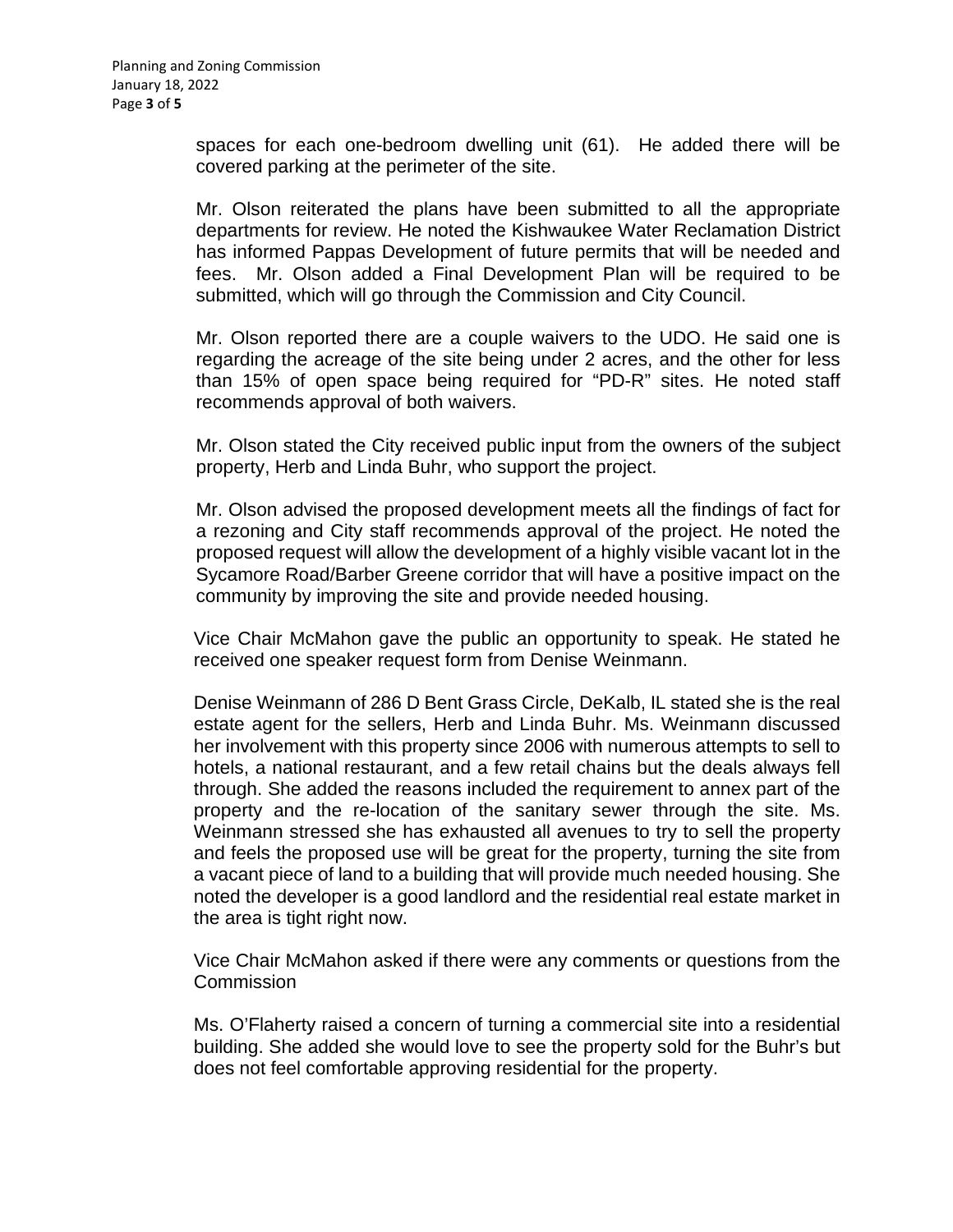spaces for each one-bedroom dwelling unit (61). He added there will be covered parking at the perimeter of the site.

Mr. Olson reiterated the plans have been submitted to all the appropriate departments for review. He noted the Kishwaukee Water Reclamation District has informed Pappas Development of future permits that will be needed and fees. Mr. Olson added a Final Development Plan will be required to be submitted, which will go through the Commission and City Council.

Mr. Olson reported there are a couple waivers to the UDO. He said one is regarding the acreage of the site being under 2 acres, and the other for less than 15% of open space being required for "PD-R" sites. He noted staff recommends approval of both waivers.

Mr. Olson stated the City received public input from the owners of the subject property, Herb and Linda Buhr, who support the project.

Mr. Olson advised the proposed development meets all the findings of fact for a rezoning and City staff recommends approval of the project. He noted the proposed request will allow the development of a highly visible vacant lot in the Sycamore Road/Barber Greene corridor that will have a positive impact on the community by improving the site and provide needed housing.

Vice Chair McMahon gave the public an opportunity to speak. He stated he received one speaker request form from Denise Weinmann.

Denise Weinmann of 286 D Bent Grass Circle, DeKalb, IL stated she is the real estate agent for the sellers, Herb and Linda Buhr. Ms. Weinmann discussed her involvement with this property since 2006 with numerous attempts to sell to hotels, a national restaurant, and a few retail chains but the deals always fell through. She added the reasons included the requirement to annex part of the property and the re-location of the sanitary sewer through the site. Ms. Weinmann stressed she has exhausted all avenues to try to sell the property and feels the proposed use will be great for the property, turning the site from a vacant piece of land to a building that will provide much needed housing. She noted the developer is a good landlord and the residential real estate market in the area is tight right now.

Vice Chair McMahon asked if there were any comments or questions from the **Commission** 

Ms. O'Flaherty raised a concern of turning a commercial site into a residential building. She added she would love to see the property sold for the Buhr's but does not feel comfortable approving residential for the property.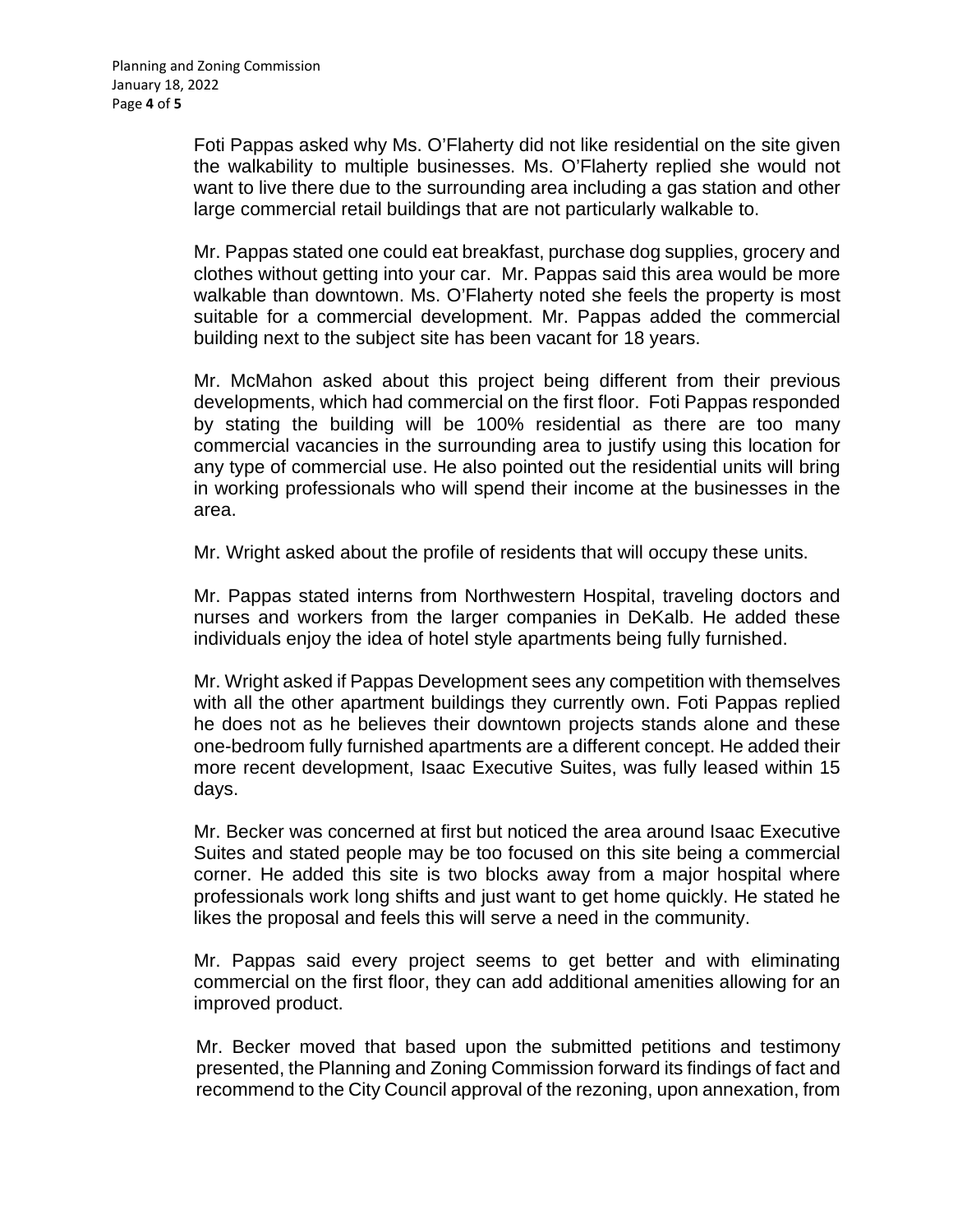Foti Pappas asked why Ms. O'Flaherty did not like residential on the site given the walkability to multiple businesses. Ms. O'Flaherty replied she would not want to live there due to the surrounding area including a gas station and other large commercial retail buildings that are not particularly walkable to.

Mr. Pappas stated one could eat breakfast, purchase dog supplies, grocery and clothes without getting into your car. Mr. Pappas said this area would be more walkable than downtown. Ms. O'Flaherty noted she feels the property is most suitable for a commercial development. Mr. Pappas added the commercial building next to the subject site has been vacant for 18 years.

Mr. McMahon asked about this project being different from their previous developments, which had commercial on the first floor. Foti Pappas responded by stating the building will be 100% residential as there are too many commercial vacancies in the surrounding area to justify using this location for any type of commercial use. He also pointed out the residential units will bring in working professionals who will spend their income at the businesses in the area.

Mr. Wright asked about the profile of residents that will occupy these units.

Mr. Pappas stated interns from Northwestern Hospital, traveling doctors and nurses and workers from the larger companies in DeKalb. He added these individuals enjoy the idea of hotel style apartments being fully furnished.

Mr. Wright asked if Pappas Development sees any competition with themselves with all the other apartment buildings they currently own. Foti Pappas replied he does not as he believes their downtown projects stands alone and these one-bedroom fully furnished apartments are a different concept. He added their more recent development, Isaac Executive Suites, was fully leased within 15 days.

Mr. Becker was concerned at first but noticed the area around Isaac Executive Suites and stated people may be too focused on this site being a commercial corner. He added this site is two blocks away from a major hospital where professionals work long shifts and just want to get home quickly. He stated he likes the proposal and feels this will serve a need in the community.

Mr. Pappas said every project seems to get better and with eliminating commercial on the first floor, they can add additional amenities allowing for an improved product.

Mr. Becker moved that based upon the submitted petitions and testimony presented, the Planning and Zoning Commission forward its findings of fact and recommend to the City Council approval of the rezoning, upon annexation, from